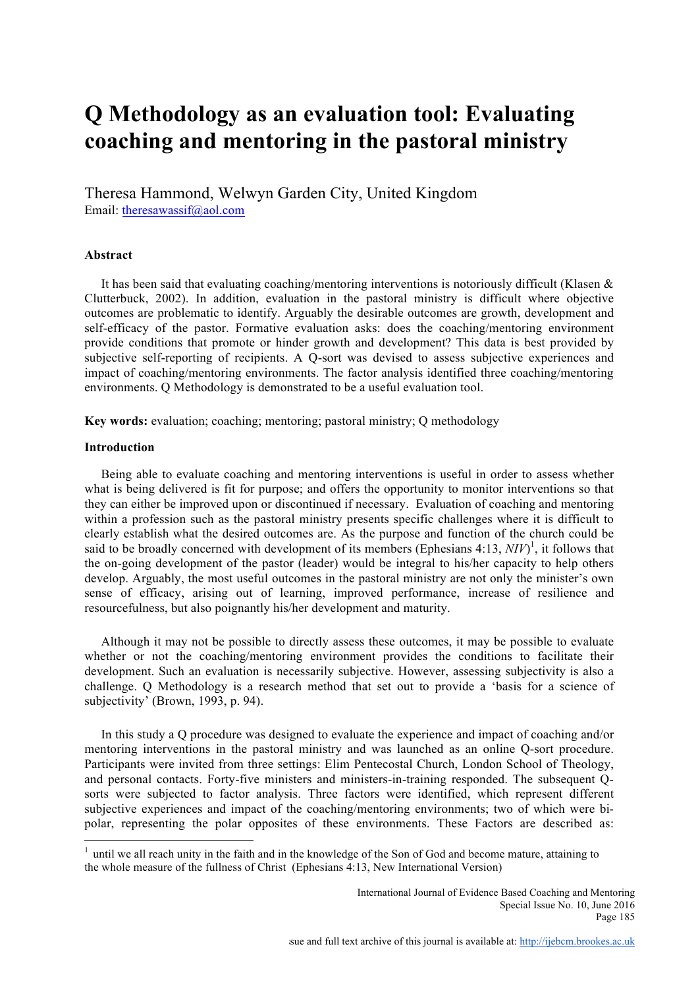# **Q Methodology as an evaluation tool: Evaluating coaching and mentoring in the pastoral ministry**

Theresa Hammond, Welwyn Garden City, United Kingdom Email: theresawassif@aol.com

## **Abstract**

It has been said that evaluating coaching/mentoring interventions is notoriously difficult (Klasen  $\&$ Clutterbuck, 2002). In addition, evaluation in the pastoral ministry is difficult where objective outcomes are problematic to identify. Arguably the desirable outcomes are growth, development and self-efficacy of the pastor. Formative evaluation asks: does the coaching/mentoring environment provide conditions that promote or hinder growth and development? This data is best provided by subjective self-reporting of recipients. A Q-sort was devised to assess subjective experiences and impact of coaching/mentoring environments. The factor analysis identified three coaching/mentoring environments. Q Methodology is demonstrated to be a useful evaluation tool.

**Key words:** evaluation; coaching; mentoring; pastoral ministry; Q methodology

## **Introduction**

Being able to evaluate coaching and mentoring interventions is useful in order to assess whether what is being delivered is fit for purpose; and offers the opportunity to monitor interventions so that they can either be improved upon or discontinued if necessary. Evaluation of coaching and mentoring within a profession such as the pastoral ministry presents specific challenges where it is difficult to clearly establish what the desired outcomes are. As the purpose and function of the church could be said to be broadly concerned with development of its members (Ephesians  $4:13$ ,  $NIV$ )<sup>1</sup>, it follows that the on-going development of the pastor (leader) would be integral to his/her capacity to help others develop. Arguably, the most useful outcomes in the pastoral ministry are not only the minister's own sense of efficacy, arising out of learning, improved performance, increase of resilience and resourcefulness, but also poignantly his/her development and maturity.

Although it may not be possible to directly assess these outcomes, it may be possible to evaluate whether or not the coaching/mentoring environment provides the conditions to facilitate their development. Such an evaluation is necessarily subjective. However, assessing subjectivity is also a challenge. Q Methodology is a research method that set out to provide a 'basis for a science of subjectivity' (Brown, 1993, p. 94).

In this study a Q procedure was designed to evaluate the experience and impact of coaching and/or mentoring interventions in the pastoral ministry and was launched as an online Q-sort procedure. Participants were invited from three settings: Elim Pentecostal Church, London School of Theology, and personal contacts. Forty-five ministers and ministers-in-training responded. The subsequent Qsorts were subjected to factor analysis. Three factors were identified, which represent different subjective experiences and impact of the coaching/mentoring environments; two of which were bipolar, representing the polar opposites of these environments. These Factors are described as:

<sup>&</sup>lt;sup>1</sup> until we all reach unity in the faith and in the knowledge of the Son of God and become mature, attaining to the whole measure of the fullness of Christ (Ephesians 4:13, New International Version)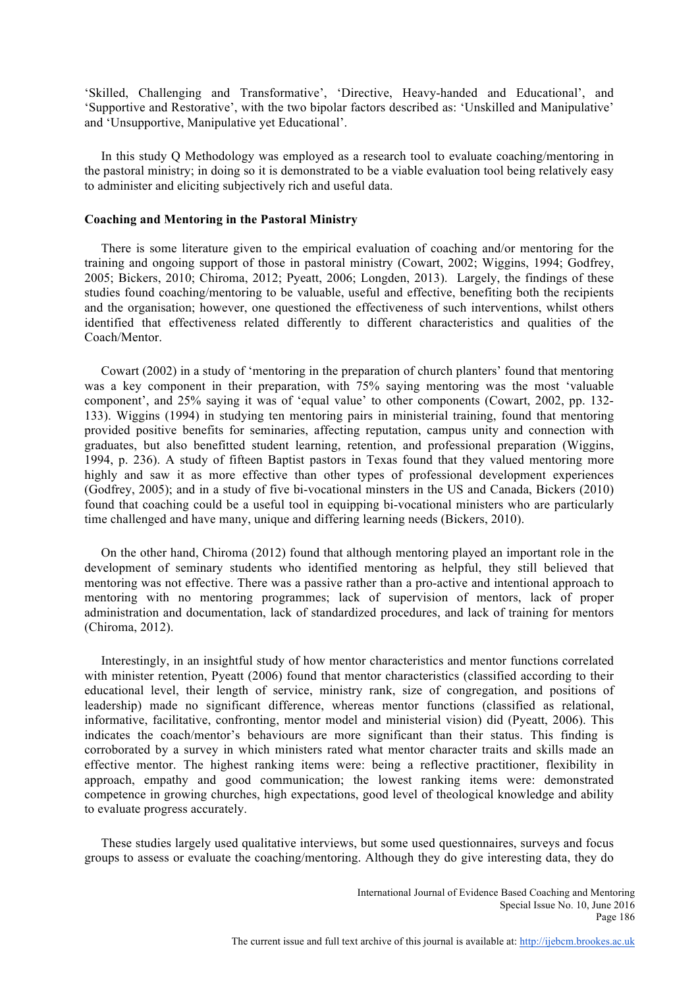'Skilled, Challenging and Transformative', 'Directive, Heavy-handed and Educational', and 'Supportive and Restorative', with the two bipolar factors described as: 'Unskilled and Manipulative' and 'Unsupportive, Manipulative yet Educational'.

In this study Q Methodology was employed as a research tool to evaluate coaching/mentoring in the pastoral ministry; in doing so it is demonstrated to be a viable evaluation tool being relatively easy to administer and eliciting subjectively rich and useful data.

#### **Coaching and Mentoring in the Pastoral Ministry**

There is some literature given to the empirical evaluation of coaching and/or mentoring for the training and ongoing support of those in pastoral ministry (Cowart, 2002; Wiggins, 1994; Godfrey, 2005; Bickers, 2010; Chiroma, 2012; Pyeatt, 2006; Longden, 2013). Largely, the findings of these studies found coaching/mentoring to be valuable, useful and effective, benefiting both the recipients and the organisation; however, one questioned the effectiveness of such interventions, whilst others identified that effectiveness related differently to different characteristics and qualities of the Coach/Mentor.

Cowart (2002) in a study of 'mentoring in the preparation of church planters' found that mentoring was a key component in their preparation, with 75% saying mentoring was the most 'valuable component', and 25% saying it was of 'equal value' to other components (Cowart, 2002, pp. 132- 133). Wiggins (1994) in studying ten mentoring pairs in ministerial training, found that mentoring provided positive benefits for seminaries, affecting reputation, campus unity and connection with graduates, but also benefitted student learning, retention, and professional preparation (Wiggins, 1994, p. 236). A study of fifteen Baptist pastors in Texas found that they valued mentoring more highly and saw it as more effective than other types of professional development experiences (Godfrey, 2005); and in a study of five bi-vocational minsters in the US and Canada, Bickers (2010) found that coaching could be a useful tool in equipping bi-vocational ministers who are particularly time challenged and have many, unique and differing learning needs (Bickers, 2010).

On the other hand, Chiroma (2012) found that although mentoring played an important role in the development of seminary students who identified mentoring as helpful, they still believed that mentoring was not effective. There was a passive rather than a pro-active and intentional approach to mentoring with no mentoring programmes; lack of supervision of mentors, lack of proper administration and documentation, lack of standardized procedures, and lack of training for mentors (Chiroma, 2012).

Interestingly, in an insightful study of how mentor characteristics and mentor functions correlated with minister retention, Pyeatt (2006) found that mentor characteristics (classified according to their educational level, their length of service, ministry rank, size of congregation, and positions of leadership) made no significant difference, whereas mentor functions (classified as relational, informative, facilitative, confronting, mentor model and ministerial vision) did (Pyeatt, 2006). This indicates the coach/mentor's behaviours are more significant than their status. This finding is corroborated by a survey in which ministers rated what mentor character traits and skills made an effective mentor. The highest ranking items were: being a reflective practitioner, flexibility in approach, empathy and good communication; the lowest ranking items were: demonstrated competence in growing churches, high expectations, good level of theological knowledge and ability to evaluate progress accurately.

These studies largely used qualitative interviews, but some used questionnaires, surveys and focus groups to assess or evaluate the coaching/mentoring. Although they do give interesting data, they do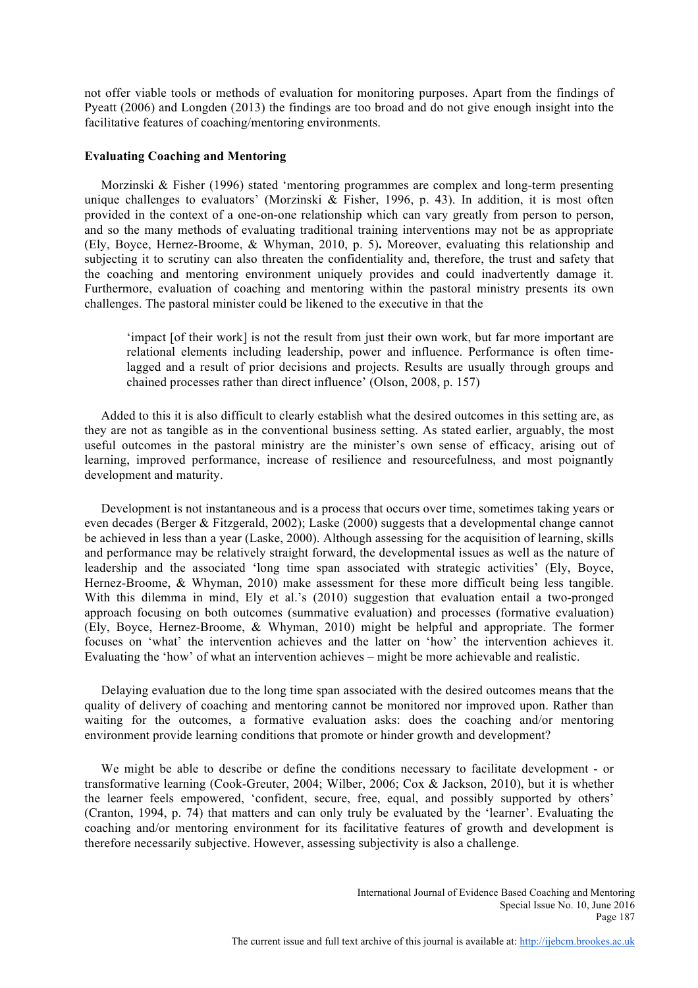not offer viable tools or methods of evaluation for monitoring purposes. Apart from the findings of Pyeatt (2006) and Longden (2013) the findings are too broad and do not give enough insight into the facilitative features of coaching/mentoring environments.

## **Evaluating Coaching and Mentoring**

Morzinski & Fisher (1996) stated 'mentoring programmes are complex and long-term presenting unique challenges to evaluators' (Morzinski & Fisher, 1996, p. 43). In addition, it is most often provided in the context of a one-on-one relationship which can vary greatly from person to person, and so the many methods of evaluating traditional training interventions may not be as appropriate (Ely, Boyce, Hernez-Broome, & Whyman, 2010, p. 5)**.** Moreover, evaluating this relationship and subjecting it to scrutiny can also threaten the confidentiality and, therefore, the trust and safety that the coaching and mentoring environment uniquely provides and could inadvertently damage it. Furthermore, evaluation of coaching and mentoring within the pastoral ministry presents its own challenges. The pastoral minister could be likened to the executive in that the

'impact [of their work] is not the result from just their own work, but far more important are relational elements including leadership, power and influence. Performance is often timelagged and a result of prior decisions and projects. Results are usually through groups and chained processes rather than direct influence' (Olson, 2008, p. 157)

Added to this it is also difficult to clearly establish what the desired outcomes in this setting are, as they are not as tangible as in the conventional business setting. As stated earlier, arguably, the most useful outcomes in the pastoral ministry are the minister's own sense of efficacy, arising out of learning, improved performance, increase of resilience and resourcefulness, and most poignantly development and maturity.

Development is not instantaneous and is a process that occurs over time, sometimes taking years or even decades (Berger & Fitzgerald, 2002); Laske (2000) suggests that a developmental change cannot be achieved in less than a year (Laske, 2000). Although assessing for the acquisition of learning, skills and performance may be relatively straight forward, the developmental issues as well as the nature of leadership and the associated 'long time span associated with strategic activities' (Ely, Boyce, Hernez-Broome, & Whyman, 2010) make assessment for these more difficult being less tangible. With this dilemma in mind, Ely et al.'s (2010) suggestion that evaluation entail a two-pronged approach focusing on both outcomes (summative evaluation) and processes (formative evaluation) (Ely, Boyce, Hernez-Broome, & Whyman, 2010) might be helpful and appropriate. The former focuses on 'what' the intervention achieves and the latter on 'how' the intervention achieves it. Evaluating the 'how' of what an intervention achieves – might be more achievable and realistic.

Delaying evaluation due to the long time span associated with the desired outcomes means that the quality of delivery of coaching and mentoring cannot be monitored nor improved upon. Rather than waiting for the outcomes, a formative evaluation asks: does the coaching and/or mentoring environment provide learning conditions that promote or hinder growth and development?

We might be able to describe or define the conditions necessary to facilitate development - or transformative learning (Cook-Greuter, 2004; Wilber, 2006; Cox & Jackson, 2010), but it is whether the learner feels empowered, 'confident, secure, free, equal, and possibly supported by others' (Cranton, 1994, p. 74) that matters and can only truly be evaluated by the 'learner'. Evaluating the coaching and/or mentoring environment for its facilitative features of growth and development is therefore necessarily subjective. However, assessing subjectivity is also a challenge.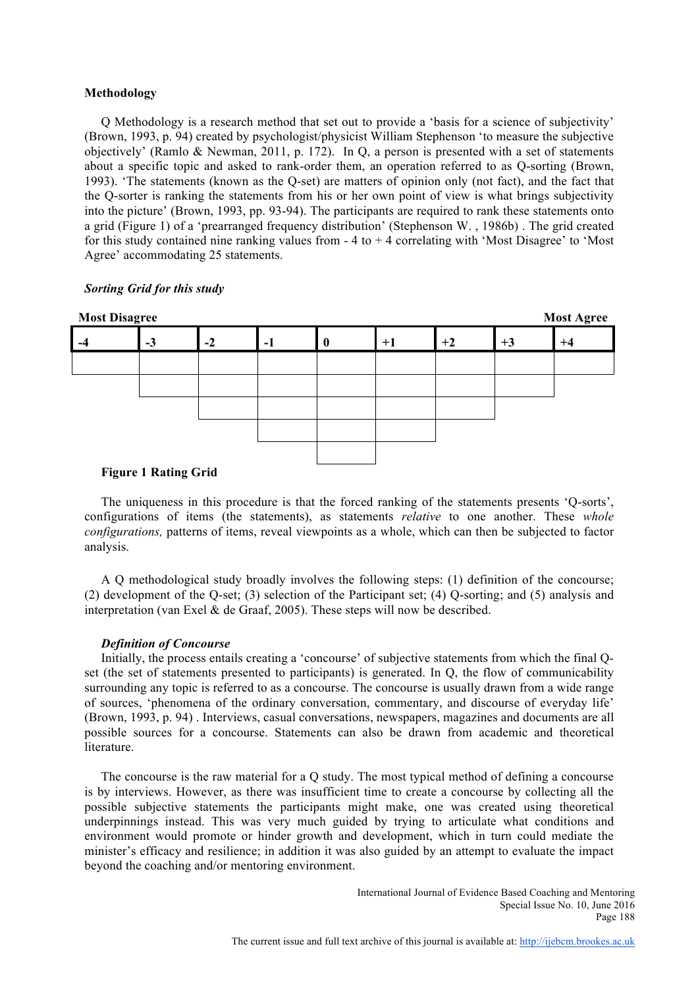## **Methodology**

Q Methodology is a research method that set out to provide a 'basis for a science of subjectivity' (Brown, 1993, p. 94) created by psychologist/physicist William Stephenson 'to measure the subjective objectively' (Ramlo & Newman, 2011, p. 172). In Q, a person is presented with a set of statements about a specific topic and asked to rank-order them, an operation referred to as Q-sorting (Brown, 1993). 'The statements (known as the Q-set) are matters of opinion only (not fact), and the fact that the Q-sorter is ranking the statements from his or her own point of view is what brings subjectivity into the picture' (Brown, 1993, pp. 93-94). The participants are required to rank these statements onto a grid (Figure 1) of a 'prearranged frequency distribution' (Stephenson W. , 1986b) . The grid created for this study contained nine ranking values from  $-4$  to  $+4$  correlating with 'Most Disagree' to 'Most Agree' accommodating 25 statements.

## *Sorting Grid for this study*



## **Figure 1 Rating Grid**

The uniqueness in this procedure is that the forced ranking of the statements presents 'Q-sorts', configurations of items (the statements), as statements *relative* to one another. These *whole configurations,* patterns of items, reveal viewpoints as a whole, which can then be subjected to factor analysis.

A Q methodological study broadly involves the following steps: (1) definition of the concourse; (2) development of the Q-set; (3) selection of the Participant set; (4) Q-sorting; and (5) analysis and interpretation (van Exel  $\&$  de Graaf, 2005). These steps will now be described.

#### *Definition of Concourse*

Initially, the process entails creating a 'concourse' of subjective statements from which the final Qset (the set of statements presented to participants) is generated. In Q, the flow of communicability surrounding any topic is referred to as a concourse. The concourse is usually drawn from a wide range of sources, 'phenomena of the ordinary conversation, commentary, and discourse of everyday life' (Brown, 1993, p. 94) . Interviews, casual conversations, newspapers, magazines and documents are all possible sources for a concourse. Statements can also be drawn from academic and theoretical literature.

The concourse is the raw material for a Q study. The most typical method of defining a concourse is by interviews. However, as there was insufficient time to create a concourse by collecting all the possible subjective statements the participants might make, one was created using theoretical underpinnings instead. This was very much guided by trying to articulate what conditions and environment would promote or hinder growth and development, which in turn could mediate the minister's efficacy and resilience; in addition it was also guided by an attempt to evaluate the impact beyond the coaching and/or mentoring environment.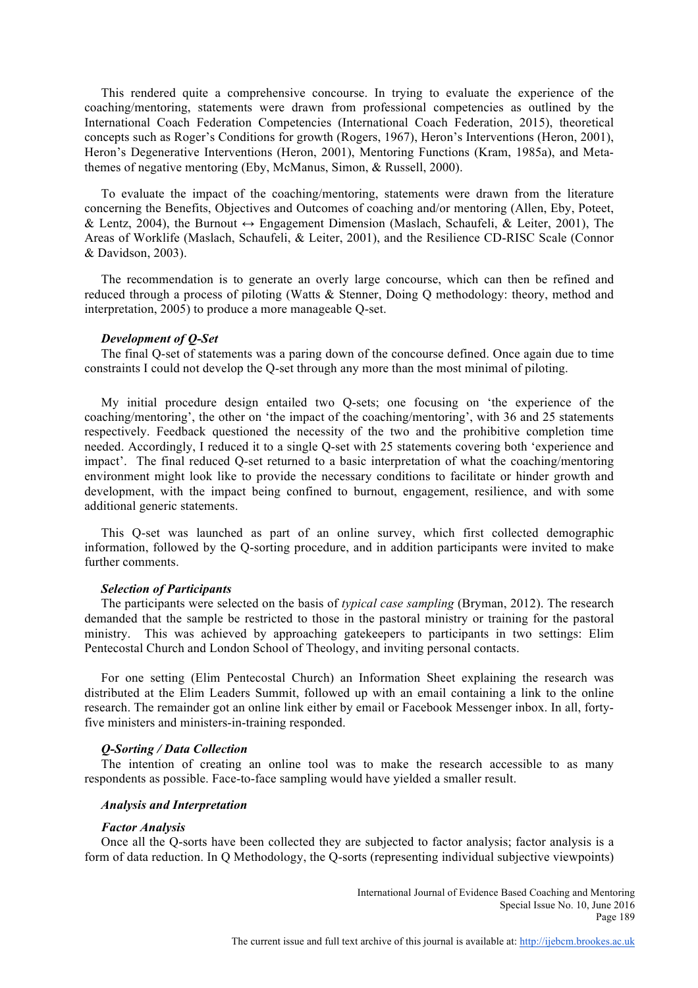This rendered quite a comprehensive concourse. In trying to evaluate the experience of the coaching/mentoring, statements were drawn from professional competencies as outlined by the International Coach Federation Competencies (International Coach Federation, 2015), theoretical concepts such as Roger's Conditions for growth (Rogers, 1967), Heron's Interventions (Heron, 2001), Heron's Degenerative Interventions (Heron, 2001), Mentoring Functions (Kram, 1985a), and Metathemes of negative mentoring (Eby, McManus, Simon, & Russell, 2000).

To evaluate the impact of the coaching/mentoring, statements were drawn from the literature concerning the Benefits, Objectives and Outcomes of coaching and/or mentoring (Allen, Eby, Poteet, & Lentz, 2004), the Burnout  $\leftrightarrow$  Engagement Dimension (Maslach, Schaufeli, & Leiter, 2001), The Areas of Worklife (Maslach, Schaufeli, & Leiter, 2001), and the Resilience CD-RISC Scale (Connor & Davidson, 2003).

The recommendation is to generate an overly large concourse, which can then be refined and reduced through a process of piloting (Watts & Stenner, Doing Q methodology: theory, method and interpretation, 2005) to produce a more manageable Q-set.

#### *Development of Q-Set*

The final Q-set of statements was a paring down of the concourse defined. Once again due to time constraints I could not develop the Q-set through any more than the most minimal of piloting.

My initial procedure design entailed two Q-sets; one focusing on 'the experience of the coaching/mentoring', the other on 'the impact of the coaching/mentoring', with 36 and 25 statements respectively. Feedback questioned the necessity of the two and the prohibitive completion time needed. Accordingly, I reduced it to a single Q-set with 25 statements covering both 'experience and impact'. The final reduced Q-set returned to a basic interpretation of what the coaching/mentoring environment might look like to provide the necessary conditions to facilitate or hinder growth and development, with the impact being confined to burnout, engagement, resilience, and with some additional generic statements.

This Q-set was launched as part of an online survey, which first collected demographic information, followed by the Q-sorting procedure, and in addition participants were invited to make further comments.

#### *Selection of Participants*

The participants were selected on the basis of *typical case sampling* (Bryman, 2012). The research demanded that the sample be restricted to those in the pastoral ministry or training for the pastoral ministry. This was achieved by approaching gatekeepers to participants in two settings: Elim Pentecostal Church and London School of Theology, and inviting personal contacts.

For one setting (Elim Pentecostal Church) an Information Sheet explaining the research was distributed at the Elim Leaders Summit, followed up with an email containing a link to the online research. The remainder got an online link either by email or Facebook Messenger inbox. In all, fortyfive ministers and ministers-in-training responded.

#### *Q-Sorting / Data Collection*

The intention of creating an online tool was to make the research accessible to as many respondents as possible. Face-to-face sampling would have yielded a smaller result.

#### *Analysis and Interpretation*

#### *Factor Analysis*

Once all the Q-sorts have been collected they are subjected to factor analysis; factor analysis is a form of data reduction. In Q Methodology, the Q-sorts (representing individual subjective viewpoints)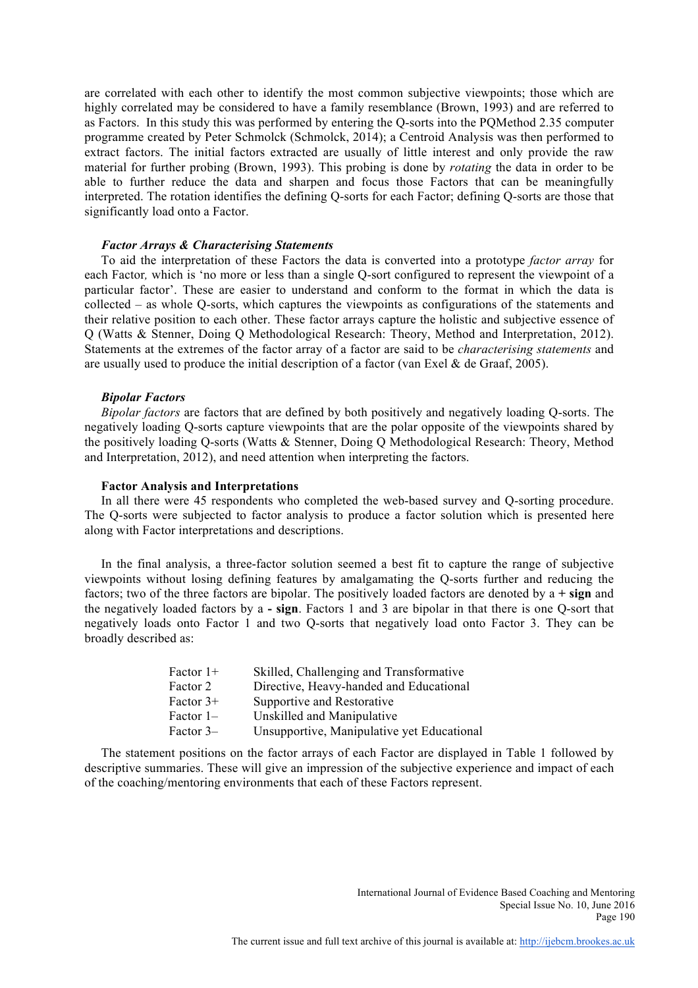are correlated with each other to identify the most common subjective viewpoints; those which are highly correlated may be considered to have a family resemblance (Brown, 1993) and are referred to as Factors. In this study this was performed by entering the Q-sorts into the PQMethod 2.35 computer programme created by Peter Schmolck (Schmolck, 2014); a Centroid Analysis was then performed to extract factors. The initial factors extracted are usually of little interest and only provide the raw material for further probing (Brown, 1993). This probing is done by *rotating* the data in order to be able to further reduce the data and sharpen and focus those Factors that can be meaningfully interpreted. The rotation identifies the defining Q-sorts for each Factor; defining Q-sorts are those that significantly load onto a Factor.

#### *Factor Arrays & Characterising Statements*

To aid the interpretation of these Factors the data is converted into a prototype *factor array* for each Factor*,* which is 'no more or less than a single Q-sort configured to represent the viewpoint of a particular factor'. These are easier to understand and conform to the format in which the data is collected – as whole Q-sorts, which captures the viewpoints as configurations of the statements and their relative position to each other. These factor arrays capture the holistic and subjective essence of Q (Watts & Stenner, Doing Q Methodological Research: Theory, Method and Interpretation, 2012). Statements at the extremes of the factor array of a factor are said to be *characterising statements* and are usually used to produce the initial description of a factor (van Exel  $\&$  de Graaf, 2005).

#### *Bipolar Factors*

*Bipolar factors* are factors that are defined by both positively and negatively loading Q-sorts. The negatively loading Q-sorts capture viewpoints that are the polar opposite of the viewpoints shared by the positively loading Q-sorts (Watts & Stenner, Doing Q Methodological Research: Theory, Method and Interpretation, 2012), and need attention when interpreting the factors.

#### **Factor Analysis and Interpretations**

In all there were 45 respondents who completed the web-based survey and Q-sorting procedure. The Q-sorts were subjected to factor analysis to produce a factor solution which is presented here along with Factor interpretations and descriptions.

In the final analysis, a three-factor solution seemed a best fit to capture the range of subjective viewpoints without losing defining features by amalgamating the Q-sorts further and reducing the factors; two of the three factors are bipolar. The positively loaded factors are denoted by a **+ sign** and the negatively loaded factors by a **- sign**. Factors 1 and 3 are bipolar in that there is one Q-sort that negatively loads onto Factor 1 and two Q-sorts that negatively load onto Factor 3. They can be broadly described as:

| Factor $1+$ | Skilled, Challenging and Transformative    |
|-------------|--------------------------------------------|
| Factor 2    | Directive, Heavy-handed and Educational    |
| Factor $3+$ | Supportive and Restorative                 |
| Factor $1-$ | Unskilled and Manipulative                 |
| Factor 3–   | Unsupportive, Manipulative yet Educational |

The statement positions on the factor arrays of each Factor are displayed in Table 1 followed by descriptive summaries. These will give an impression of the subjective experience and impact of each of the coaching/mentoring environments that each of these Factors represent.

> International Journal of Evidence Based Coaching and Mentoring Special Issue No. 10, June 2016 Page 190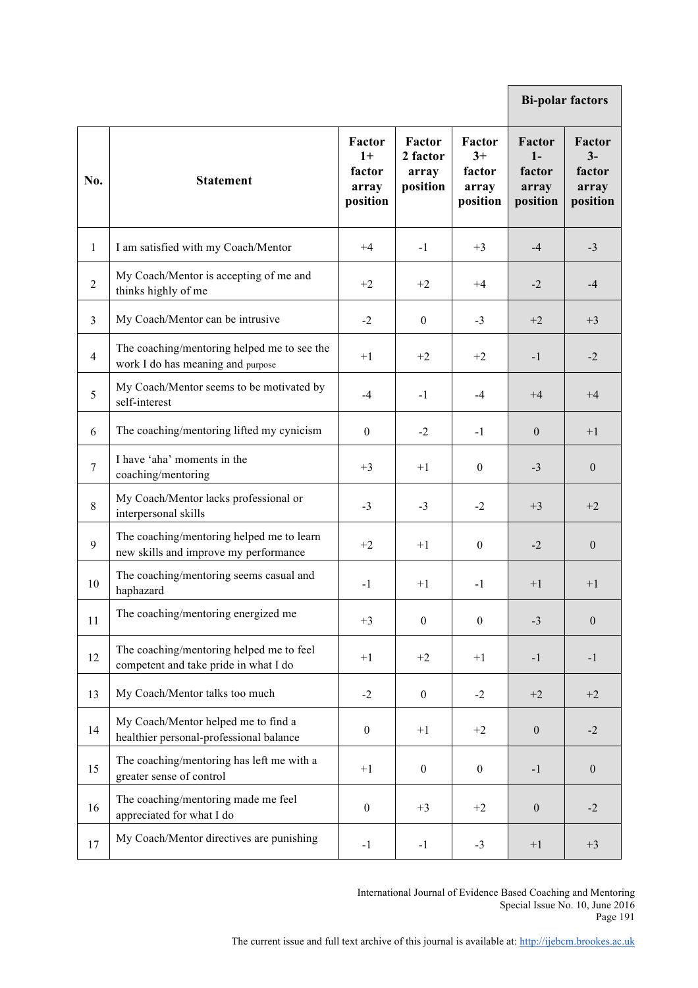|                |                                                                                    |                                               |                                         |                                               | <b>Bi-polar factors</b>                              |                                               |
|----------------|------------------------------------------------------------------------------------|-----------------------------------------------|-----------------------------------------|-----------------------------------------------|------------------------------------------------------|-----------------------------------------------|
| No.            | <b>Statement</b>                                                                   | Factor<br>$1+$<br>factor<br>array<br>position | Factor<br>2 factor<br>array<br>position | Factor<br>$3+$<br>factor<br>array<br>position | <b>Factor</b><br>$1-$<br>factor<br>array<br>position | Factor<br>$3-$<br>factor<br>array<br>position |
| 1              | I am satisfied with my Coach/Mentor                                                | $+4$                                          | $-1$                                    | $+3$                                          | $-4$                                                 | $-3$                                          |
| $\overline{2}$ | My Coach/Mentor is accepting of me and<br>thinks highly of me                      | $+2$                                          | $+2$                                    | $+4$                                          | $-2$                                                 | $-4$                                          |
| 3              | My Coach/Mentor can be intrusive                                                   | $-2$                                          | $\theta$                                | $-3$                                          | $+2$                                                 | $+3$                                          |
| $\overline{4}$ | The coaching/mentoring helped me to see the<br>work I do has meaning and purpose   | $+1$                                          | $+2$                                    | $+2$                                          | $-1$                                                 | $-2$                                          |
| 5              | My Coach/Mentor seems to be motivated by<br>self-interest                          | -4                                            | $-1$                                    | -4                                            | $+4$                                                 | $+4$                                          |
| 6              | The coaching/mentoring lifted my cynicism                                          | $\theta$                                      | $-2$                                    | $-1$                                          | $\overline{0}$                                       | $+1$                                          |
| $\tau$         | I have 'aha' moments in the<br>coaching/mentoring                                  | $+3$                                          | $+1$                                    | $\mathbf{0}$                                  | $-3$                                                 | $\boldsymbol{0}$                              |
| 8              | My Coach/Mentor lacks professional or<br>interpersonal skills                      | $-3$                                          | $-3$                                    | $-2$                                          | $+3$                                                 | $+2$                                          |
| 9              | The coaching/mentoring helped me to learn<br>new skills and improve my performance | $+2$                                          | $+1$                                    | $\mathbf{0}$                                  | $-2$                                                 | $\boldsymbol{0}$                              |
| 10             | The coaching/mentoring seems casual and<br>haphazard                               | $-1$                                          | $+1$                                    | $-1$                                          | $+1$                                                 | $+1$                                          |
| 11             | The coaching/mentoring energized me                                                | $+3$                                          | $\boldsymbol{0}$                        | $\boldsymbol{0}$                              | $-3$                                                 | $\theta$                                      |
| 12             | The coaching/mentoring helped me to feel<br>competent and take pride in what I do  | $+1$                                          | $+2$                                    | $+1$                                          | $-1$                                                 | $-1$                                          |
| 13             | My Coach/Mentor talks too much                                                     | $-2$                                          | $\boldsymbol{0}$                        | $-2$                                          | $+2$                                                 | $+2$                                          |
| 14             | My Coach/Mentor helped me to find a<br>healthier personal-professional balance     | $\boldsymbol{0}$                              | $+1$                                    | $+2$                                          | $\mathbf{0}$                                         | $-2$                                          |
| 15             | The coaching/mentoring has left me with a<br>greater sense of control              | $+1$                                          | $\overline{0}$                          | $\boldsymbol{0}$                              | $-1$                                                 | $\mathbf{0}$                                  |
| 16             | The coaching/mentoring made me feel<br>appreciated for what I do                   | $\boldsymbol{0}$                              | $+3$                                    | $+2$                                          | $\boldsymbol{0}$                                     | $-2$                                          |
| 17             | My Coach/Mentor directives are punishing                                           | $-1$                                          | $-1$                                    | $-3$                                          | $+1$                                                 | $+3$                                          |

International Journal of Evidence Based Coaching and Mentoring Special Issue No. 10, June 2016 Page 191

п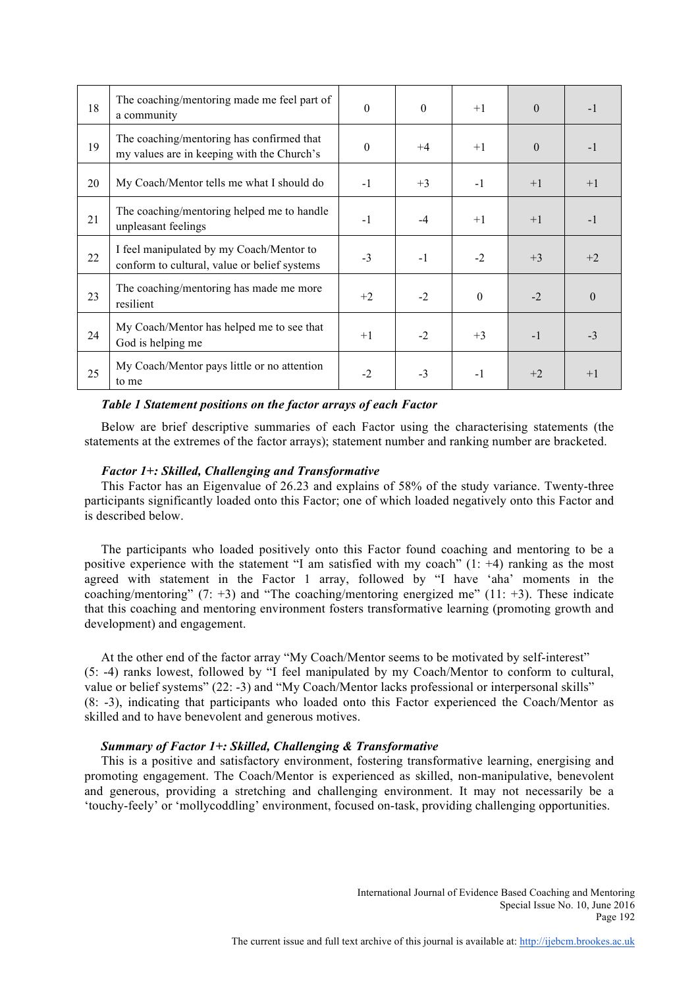| 18 | The coaching/mentoring made me feel part of<br>a community                               | $\theta$ | $\theta$ | $+1$     | $\theta$ | $-1$     |
|----|------------------------------------------------------------------------------------------|----------|----------|----------|----------|----------|
| 19 | The coaching/mentoring has confirmed that<br>my values are in keeping with the Church's  | $\theta$ | $+4$     | $+1$     | $\theta$ | $-1$     |
| 20 | My Coach/Mentor tells me what I should do                                                | $-1$     | $+3$     | $-1$     | $+1$     | $+1$     |
| 21 | The coaching/mentoring helped me to handle<br>unpleasant feelings                        | $-1$     | $-4$     | $+1$     | $+1$     | $-1$     |
| 22 | I feel manipulated by my Coach/Mentor to<br>conform to cultural, value or belief systems | $-3$     | $-1$     | $-2$     | $+3$     | $+2$     |
| 23 | The coaching/mentoring has made me more<br>resilient                                     | $+2$     | $-2$     | $\theta$ | $-2$     | $\theta$ |
| 24 | My Coach/Mentor has helped me to see that<br>God is helping me                           | $+1$     | $-2$     | $+3$     | $-1$     | $-3$     |
| 25 | My Coach/Mentor pays little or no attention<br>to me                                     | $-2$     | $-3$     | $-1$     | $+2$     | $+1$     |

## *Table 1 Statement positions on the factor arrays of each Factor*

Below are brief descriptive summaries of each Factor using the characterising statements (the statements at the extremes of the factor arrays); statement number and ranking number are bracketed.

## *Factor 1+: Skilled, Challenging and Transformative*

This Factor has an Eigenvalue of 26.23 and explains of 58% of the study variance. Twenty-three participants significantly loaded onto this Factor; one of which loaded negatively onto this Factor and is described below.

The participants who loaded positively onto this Factor found coaching and mentoring to be a positive experience with the statement "I am satisfied with my coach"  $(1: +4)$  ranking as the most agreed with statement in the Factor 1 array, followed by "I have 'aha' moments in the coaching/mentoring"  $(7: +3)$  and "The coaching/mentoring energized me"  $(11: +3)$ . These indicate that this coaching and mentoring environment fosters transformative learning (promoting growth and development) and engagement.

At the other end of the factor array "My Coach/Mentor seems to be motivated by self-interest" (5: -4) ranks lowest, followed by "I feel manipulated by my Coach/Mentor to conform to cultural, value or belief systems" (22: -3) and "My Coach/Mentor lacks professional or interpersonal skills" (8: -3), indicating that participants who loaded onto this Factor experienced the Coach/Mentor as skilled and to have benevolent and generous motives.

## *Summary of Factor 1+: Skilled, Challenging & Transformative*

This is a positive and satisfactory environment, fostering transformative learning, energising and promoting engagement. The Coach/Mentor is experienced as skilled, non-manipulative, benevolent and generous, providing a stretching and challenging environment. It may not necessarily be a 'touchy-feely' or 'mollycoddling' environment, focused on-task, providing challenging opportunities.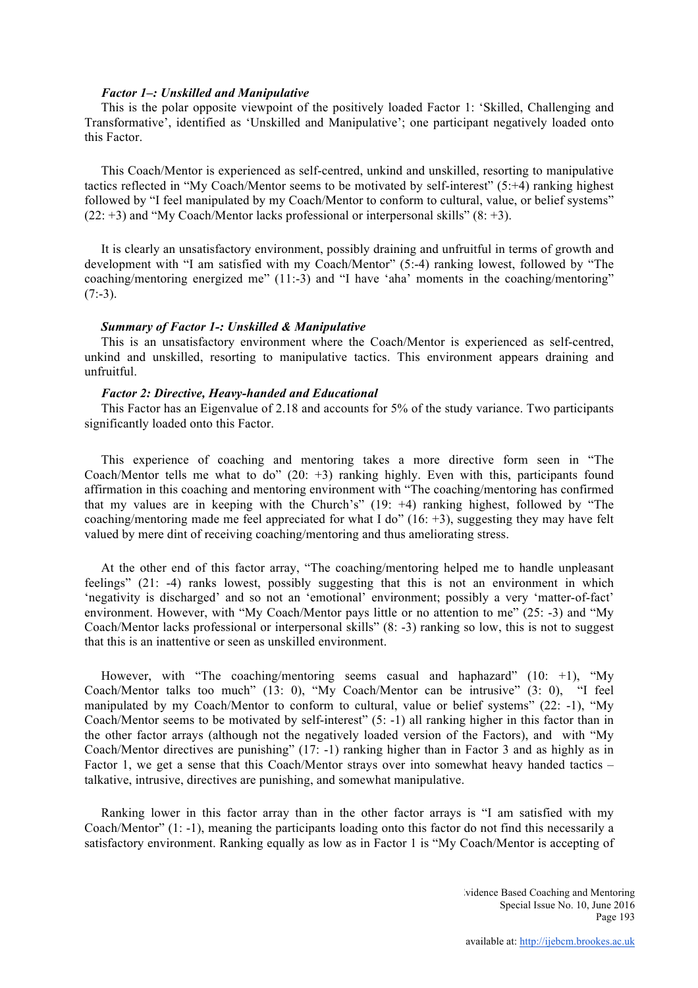#### *Factor 1–: Unskilled and Manipulative*

This is the polar opposite viewpoint of the positively loaded Factor 1: 'Skilled, Challenging and Transformative', identified as 'Unskilled and Manipulative'; one participant negatively loaded onto this Factor.

This Coach/Mentor is experienced as self-centred, unkind and unskilled, resorting to manipulative tactics reflected in "My Coach/Mentor seems to be motivated by self-interest" (5:+4) ranking highest followed by "I feel manipulated by my Coach/Mentor to conform to cultural, value, or belief systems"  $(22: +3)$  and "My Coach/Mentor lacks professional or interpersonal skills"  $(8: +3)$ .

It is clearly an unsatisfactory environment, possibly draining and unfruitful in terms of growth and development with "I am satisfied with my Coach/Mentor" (5:-4) ranking lowest, followed by "The coaching/mentoring energized me" (11:-3) and "I have 'aha' moments in the coaching/mentoring"  $(7:-3)$ .

## *Summary of Factor 1-: Unskilled & Manipulative*

This is an unsatisfactory environment where the Coach/Mentor is experienced as self-centred, unkind and unskilled, resorting to manipulative tactics. This environment appears draining and unfruitful.

#### *Factor 2: Directive, Heavy-handed and Educational*

This Factor has an Eigenvalue of 2.18 and accounts for 5% of the study variance. Two participants significantly loaded onto this Factor.

This experience of coaching and mentoring takes a more directive form seen in "The Coach/Mentor tells me what to do"  $(20: +3)$  ranking highly. Even with this, participants found affirmation in this coaching and mentoring environment with "The coaching/mentoring has confirmed that my values are in keeping with the Church's" (19: +4) ranking highest, followed by "The coaching/mentoring made me feel appreciated for what I do"  $(16: +3)$ , suggesting they may have felt valued by mere dint of receiving coaching/mentoring and thus ameliorating stress.

At the other end of this factor array, "The coaching/mentoring helped me to handle unpleasant feelings" (21: -4) ranks lowest, possibly suggesting that this is not an environment in which 'negativity is discharged' and so not an 'emotional' environment; possibly a very 'matter-of-fact' environment. However, with "My Coach/Mentor pays little or no attention to me" (25: -3) and "My Coach/Mentor lacks professional or interpersonal skills" (8: -3) ranking so low, this is not to suggest that this is an inattentive or seen as unskilled environment.

However, with "The coaching/mentoring seems casual and haphazard" (10:  $+1$ ), "My Coach/Mentor talks too much" (13: 0), "My Coach/Mentor can be intrusive" (3: 0), "I feel manipulated by my Coach/Mentor to conform to cultural, value or belief systems"  $(22: -1)$ , "My Coach/Mentor seems to be motivated by self-interest" (5: -1) all ranking higher in this factor than in the other factor arrays (although not the negatively loaded version of the Factors), and with "My Coach/Mentor directives are punishing" (17: -1) ranking higher than in Factor 3 and as highly as in Factor 1, we get a sense that this Coach/Mentor strays over into somewhat heavy handed tactics – talkative, intrusive, directives are punishing, and somewhat manipulative.

Ranking lower in this factor array than in the other factor arrays is "I am satisfied with my Coach/Mentor" (1: -1), meaning the participants loading onto this factor do not find this necessarily a satisfactory environment. Ranking equally as low as in Factor 1 is "My Coach/Mentor is accepting of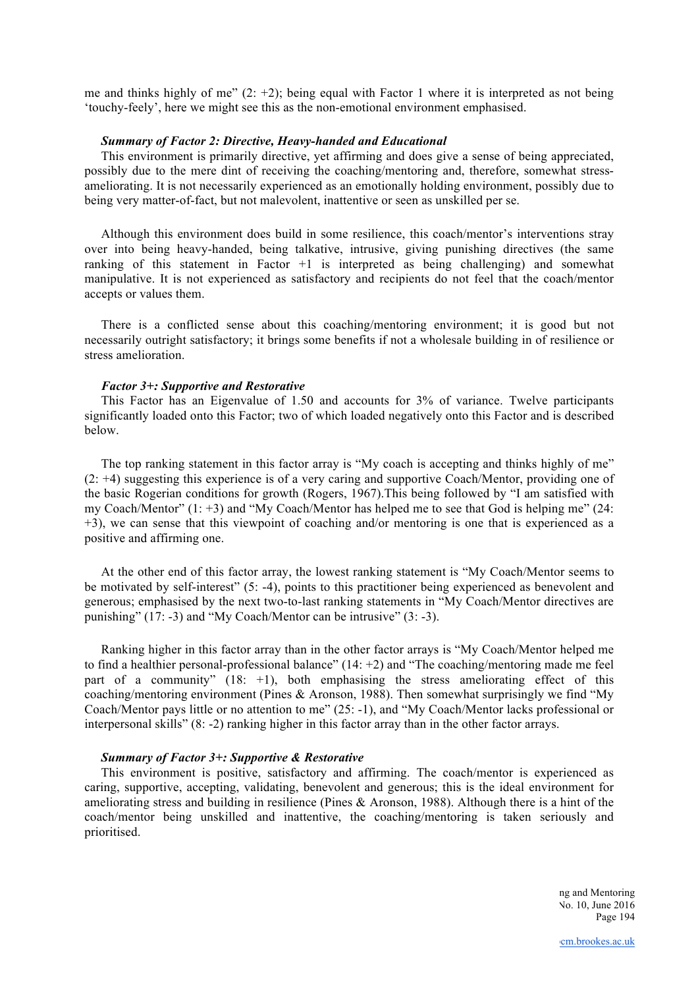me and thinks highly of me"  $(2: +2)$ ; being equal with Factor 1 where it is interpreted as not being 'touchy-feely', here we might see this as the non-emotional environment emphasised.

## *Summary of Factor 2: Directive, Heavy-handed and Educational*

This environment is primarily directive, yet affirming and does give a sense of being appreciated, possibly due to the mere dint of receiving the coaching/mentoring and, therefore, somewhat stressameliorating. It is not necessarily experienced as an emotionally holding environment, possibly due to being very matter-of-fact, but not malevolent, inattentive or seen as unskilled per se.

Although this environment does build in some resilience, this coach/mentor's interventions stray over into being heavy-handed, being talkative, intrusive, giving punishing directives (the same ranking of this statement in Factor  $+1$  is interpreted as being challenging) and somewhat manipulative. It is not experienced as satisfactory and recipients do not feel that the coach/mentor accepts or values them.

There is a conflicted sense about this coaching/mentoring environment; it is good but not necessarily outright satisfactory; it brings some benefits if not a wholesale building in of resilience or stress amelioration.

#### *Factor 3+: Supportive and Restorative*

This Factor has an Eigenvalue of 1.50 and accounts for 3% of variance. Twelve participants significantly loaded onto this Factor; two of which loaded negatively onto this Factor and is described below.

The top ranking statement in this factor array is "My coach is accepting and thinks highly of me" (2: +4) suggesting this experience is of a very caring and supportive Coach/Mentor, providing one of the basic Rogerian conditions for growth (Rogers, 1967).This being followed by "I am satisfied with my Coach/Mentor" (1: +3) and "My Coach/Mentor has helped me to see that God is helping me" (24: +3), we can sense that this viewpoint of coaching and/or mentoring is one that is experienced as a positive and affirming one.

At the other end of this factor array, the lowest ranking statement is "My Coach/Mentor seems to be motivated by self-interest" (5: -4), points to this practitioner being experienced as benevolent and generous; emphasised by the next two-to-last ranking statements in "My Coach/Mentor directives are punishing" (17: -3) and "My Coach/Mentor can be intrusive" (3: -3).

Ranking higher in this factor array than in the other factor arrays is "My Coach/Mentor helped me to find a healthier personal-professional balance" (14: +2) and "The coaching/mentoring made me feel part of a community" (18: +1), both emphasising the stress ameliorating effect of this coaching/mentoring environment (Pines & Aronson, 1988). Then somewhat surprisingly we find "My Coach/Mentor pays little or no attention to me" (25: -1), and "My Coach/Mentor lacks professional or interpersonal skills" (8: -2) ranking higher in this factor array than in the other factor arrays.

## *Summary of Factor 3+: Supportive & Restorative*

This environment is positive, satisfactory and affirming. The coach/mentor is experienced as caring, supportive, accepting, validating, benevolent and generous; this is the ideal environment for ameliorating stress and building in resilience (Pines & Aronson, 1988). Although there is a hint of the coach/mentor being unskilled and inattentive, the coaching/mentoring is taken seriously and prioritised.

> ng and Mentoring No. 10, June 2016 Page 194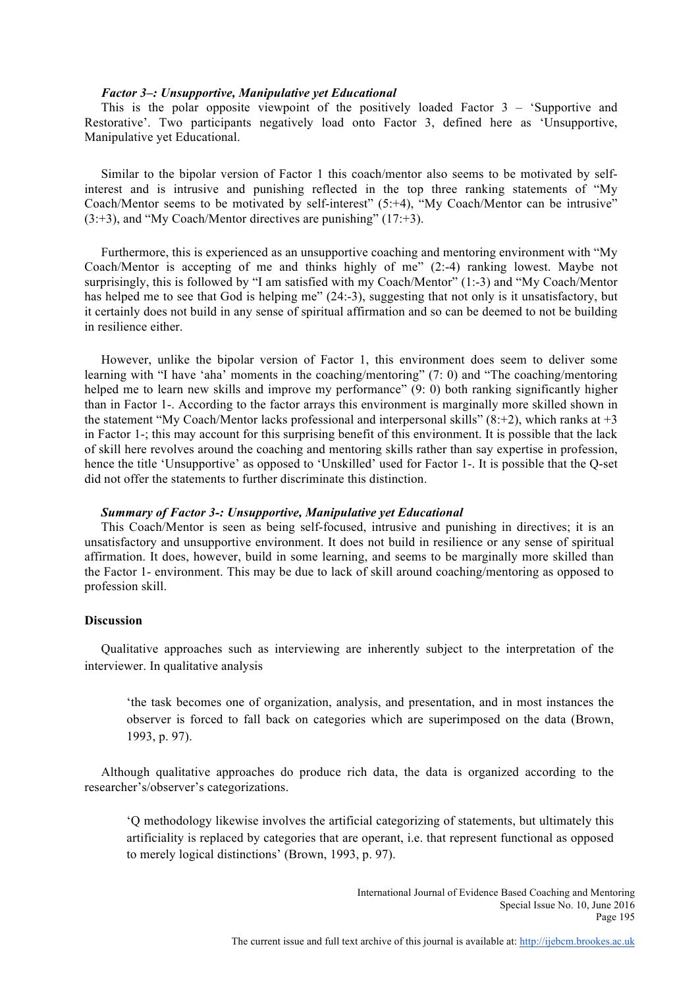#### *Factor 3–: Unsupportive, Manipulative yet Educational*

This is the polar opposite viewpoint of the positively loaded Factor 3 – 'Supportive and Restorative'. Two participants negatively load onto Factor 3, defined here as 'Unsupportive, Manipulative yet Educational.

Similar to the bipolar version of Factor 1 this coach/mentor also seems to be motivated by selfinterest and is intrusive and punishing reflected in the top three ranking statements of "My Coach/Mentor seems to be motivated by self-interest" (5:+4), "My Coach/Mentor can be intrusive"  $(3:+3)$ , and "My Coach/Mentor directives are punishing"  $(17:+3)$ .

Furthermore, this is experienced as an unsupportive coaching and mentoring environment with "My Coach/Mentor is accepting of me and thinks highly of me" (2:-4) ranking lowest. Maybe not surprisingly, this is followed by "I am satisfied with my Coach/Mentor" (1:-3) and "My Coach/Mentor has helped me to see that God is helping me" (24:-3), suggesting that not only is it unsatisfactory, but it certainly does not build in any sense of spiritual affirmation and so can be deemed to not be building in resilience either.

However, unlike the bipolar version of Factor 1, this environment does seem to deliver some learning with "I have 'aha' moments in the coaching/mentoring" (7: 0) and "The coaching/mentoring helped me to learn new skills and improve my performance" (9: 0) both ranking significantly higher than in Factor 1-. According to the factor arrays this environment is marginally more skilled shown in the statement "My Coach/Mentor lacks professional and interpersonal skills"  $(8:+2)$ , which ranks at  $+3$ in Factor 1-; this may account for this surprising benefit of this environment. It is possible that the lack of skill here revolves around the coaching and mentoring skills rather than say expertise in profession, hence the title 'Unsupportive' as opposed to 'Unskilled' used for Factor 1-. It is possible that the Q-set did not offer the statements to further discriminate this distinction.

#### *Summary of Factor 3-: Unsupportive, Manipulative yet Educational*

This Coach/Mentor is seen as being self-focused, intrusive and punishing in directives; it is an unsatisfactory and unsupportive environment. It does not build in resilience or any sense of spiritual affirmation. It does, however, build in some learning, and seems to be marginally more skilled than the Factor 1- environment. This may be due to lack of skill around coaching/mentoring as opposed to profession skill.

#### **Discussion**

Qualitative approaches such as interviewing are inherently subject to the interpretation of the interviewer. In qualitative analysis

'the task becomes one of organization, analysis, and presentation, and in most instances the observer is forced to fall back on categories which are superimposed on the data (Brown, 1993, p. 97).

Although qualitative approaches do produce rich data, the data is organized according to the researcher's/observer's categorizations.

'Q methodology likewise involves the artificial categorizing of statements, but ultimately this artificiality is replaced by categories that are operant, i.e. that represent functional as opposed to merely logical distinctions' (Brown, 1993, p. 97).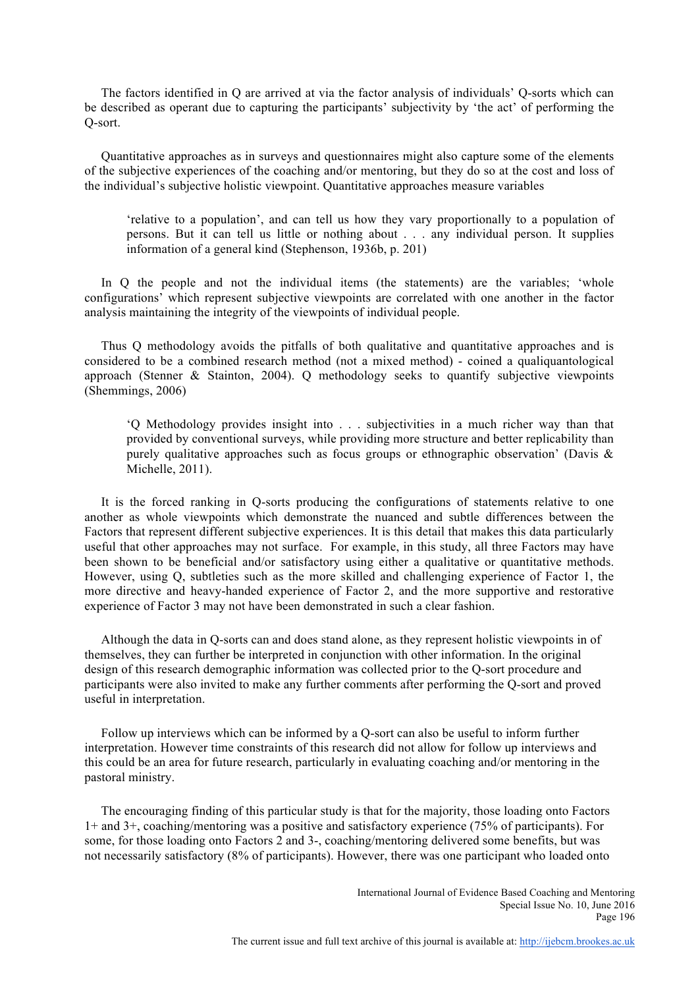The factors identified in Q are arrived at via the factor analysis of individuals' Q-sorts which can be described as operant due to capturing the participants' subjectivity by 'the act' of performing the Q-sort.

Quantitative approaches as in surveys and questionnaires might also capture some of the elements of the subjective experiences of the coaching and/or mentoring, but they do so at the cost and loss of the individual's subjective holistic viewpoint. Quantitative approaches measure variables

'relative to a population', and can tell us how they vary proportionally to a population of persons. But it can tell us little or nothing about . . . any individual person. It supplies information of a general kind (Stephenson, 1936b, p. 201)

In O the people and not the individual items (the statements) are the variables; 'whole configurations' which represent subjective viewpoints are correlated with one another in the factor analysis maintaining the integrity of the viewpoints of individual people.

Thus Q methodology avoids the pitfalls of both qualitative and quantitative approaches and is considered to be a combined research method (not a mixed method) - coined a qualiquantological approach (Stenner & Stainton, 2004). Q methodology seeks to quantify subjective viewpoints (Shemmings, 2006)

'Q Methodology provides insight into . . . subjectivities in a much richer way than that provided by conventional surveys, while providing more structure and better replicability than purely qualitative approaches such as focus groups or ethnographic observation' (Davis  $\&$ Michelle, 2011).

It is the forced ranking in Q-sorts producing the configurations of statements relative to one another as whole viewpoints which demonstrate the nuanced and subtle differences between the Factors that represent different subjective experiences. It is this detail that makes this data particularly useful that other approaches may not surface. For example, in this study, all three Factors may have been shown to be beneficial and/or satisfactory using either a qualitative or quantitative methods. However, using Q, subtleties such as the more skilled and challenging experience of Factor 1, the more directive and heavy-handed experience of Factor 2, and the more supportive and restorative experience of Factor 3 may not have been demonstrated in such a clear fashion.

Although the data in Q-sorts can and does stand alone, as they represent holistic viewpoints in of themselves, they can further be interpreted in conjunction with other information. In the original design of this research demographic information was collected prior to the Q-sort procedure and participants were also invited to make any further comments after performing the Q-sort and proved useful in interpretation.

Follow up interviews which can be informed by a Q-sort can also be useful to inform further interpretation. However time constraints of this research did not allow for follow up interviews and this could be an area for future research, particularly in evaluating coaching and/or mentoring in the pastoral ministry.

The encouraging finding of this particular study is that for the majority, those loading onto Factors 1+ and 3+, coaching/mentoring was a positive and satisfactory experience (75% of participants). For some, for those loading onto Factors 2 and 3-, coaching/mentoring delivered some benefits, but was not necessarily satisfactory (8% of participants). However, there was one participant who loaded onto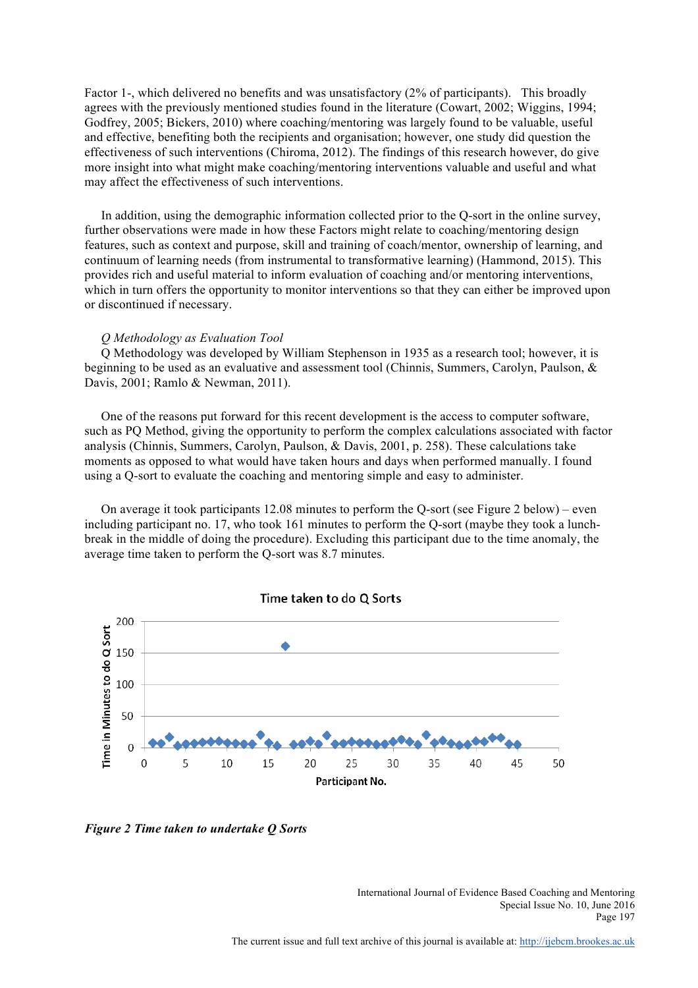Factor 1-, which delivered no benefits and was unsatisfactory (2% of participants). This broadly agrees with the previously mentioned studies found in the literature (Cowart, 2002; Wiggins, 1994; Godfrey, 2005; Bickers, 2010) where coaching/mentoring was largely found to be valuable, useful and effective, benefiting both the recipients and organisation; however, one study did question the effectiveness of such interventions (Chiroma, 2012). The findings of this research however, do give more insight into what might make coaching/mentoring interventions valuable and useful and what may affect the effectiveness of such interventions.

In addition, using the demographic information collected prior to the Q-sort in the online survey, further observations were made in how these Factors might relate to coaching/mentoring design features, such as context and purpose, skill and training of coach/mentor, ownership of learning, and continuum of learning needs (from instrumental to transformative learning) (Hammond, 2015). This provides rich and useful material to inform evaluation of coaching and/or mentoring interventions, which in turn offers the opportunity to monitor interventions so that they can either be improved upon or discontinued if necessary.

#### *Q Methodology as Evaluation Tool*

Q Methodology was developed by William Stephenson in 1935 as a research tool; however, it is beginning to be used as an evaluative and assessment tool (Chinnis, Summers, Carolyn, Paulson, & Davis, 2001; Ramlo & Newman, 2011).

One of the reasons put forward for this recent development is the access to computer software, such as PQ Method, giving the opportunity to perform the complex calculations associated with factor analysis (Chinnis, Summers, Carolyn, Paulson, & Davis, 2001, p. 258). These calculations take moments as opposed to what would have taken hours and days when performed manually. I found using a Q-sort to evaluate the coaching and mentoring simple and easy to administer.

On average it took participants 12.08 minutes to perform the Q-sort (see Figure 2 below) – even including participant no. 17, who took 161 minutes to perform the Q-sort (maybe they took a lunchbreak in the middle of doing the procedure). Excluding this participant due to the time anomaly, the average time taken to perform the Q-sort was 8.7 minutes.



*Figure 2 Time taken to undertake Q Sorts*

International Journal of Evidence Based Coaching and Mentoring Special Issue No. 10, June 2016 Page 197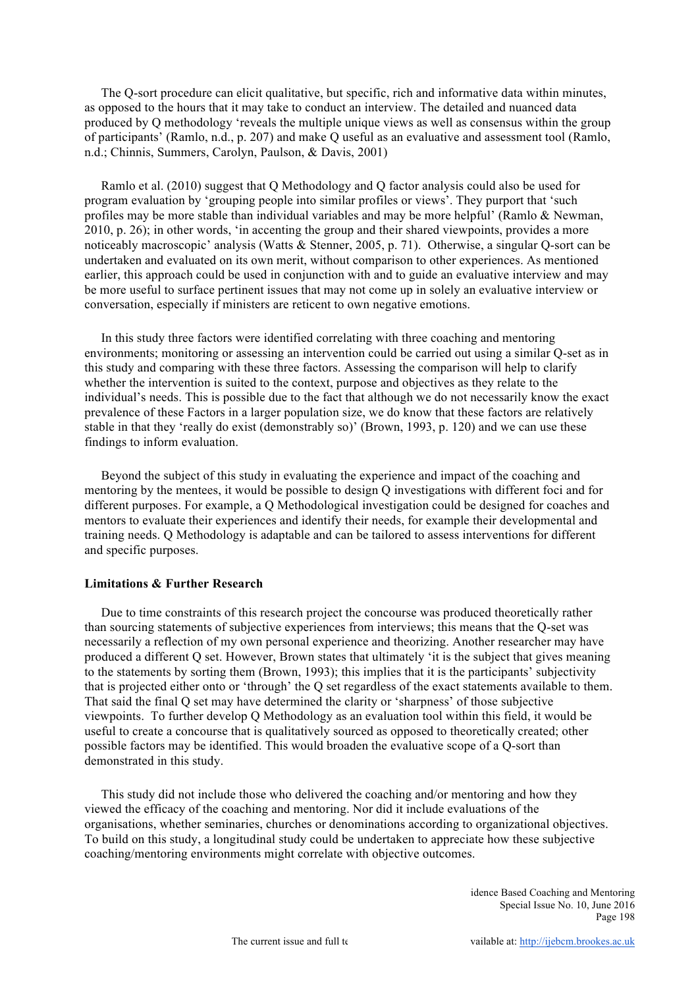The Q-sort procedure can elicit qualitative, but specific, rich and informative data within minutes, as opposed to the hours that it may take to conduct an interview. The detailed and nuanced data produced by Q methodology 'reveals the multiple unique views as well as consensus within the group of participants' (Ramlo, n.d., p. 207) and make Q useful as an evaluative and assessment tool (Ramlo, n.d.; Chinnis, Summers, Carolyn, Paulson, & Davis, 2001)

Ramlo et al. (2010) suggest that Q Methodology and Q factor analysis could also be used for program evaluation by 'grouping people into similar profiles or views'. They purport that 'such profiles may be more stable than individual variables and may be more helpful' (Ramlo & Newman, 2010, p. 26); in other words, 'in accenting the group and their shared viewpoints, provides a more noticeably macroscopic' analysis (Watts & Stenner, 2005, p. 71). Otherwise, a singular Q-sort can be undertaken and evaluated on its own merit, without comparison to other experiences. As mentioned earlier, this approach could be used in conjunction with and to guide an evaluative interview and may be more useful to surface pertinent issues that may not come up in solely an evaluative interview or conversation, especially if ministers are reticent to own negative emotions.

In this study three factors were identified correlating with three coaching and mentoring environments; monitoring or assessing an intervention could be carried out using a similar Q-set as in this study and comparing with these three factors. Assessing the comparison will help to clarify whether the intervention is suited to the context, purpose and objectives as they relate to the individual's needs. This is possible due to the fact that although we do not necessarily know the exact prevalence of these Factors in a larger population size, we do know that these factors are relatively stable in that they 'really do exist (demonstrably so)' (Brown, 1993, p. 120) and we can use these findings to inform evaluation.

Beyond the subject of this study in evaluating the experience and impact of the coaching and mentoring by the mentees, it would be possible to design Q investigations with different foci and for different purposes. For example, a Q Methodological investigation could be designed for coaches and mentors to evaluate their experiences and identify their needs, for example their developmental and training needs. Q Methodology is adaptable and can be tailored to assess interventions for different and specific purposes.

## **Limitations & Further Research**

Due to time constraints of this research project the concourse was produced theoretically rather than sourcing statements of subjective experiences from interviews; this means that the Q-set was necessarily a reflection of my own personal experience and theorizing. Another researcher may have produced a different Q set. However, Brown states that ultimately 'it is the subject that gives meaning to the statements by sorting them (Brown, 1993); this implies that it is the participants' subjectivity that is projected either onto or 'through' the Q set regardless of the exact statements available to them. That said the final Q set may have determined the clarity or 'sharpness' of those subjective viewpoints. To further develop Q Methodology as an evaluation tool within this field, it would be useful to create a concourse that is qualitatively sourced as opposed to theoretically created; other possible factors may be identified. This would broaden the evaluative scope of a Q-sort than demonstrated in this study.

This study did not include those who delivered the coaching and/or mentoring and how they viewed the efficacy of the coaching and mentoring. Nor did it include evaluations of the organisations, whether seminaries, churches or denominations according to organizational objectives. To build on this study, a longitudinal study could be undertaken to appreciate how these subjective coaching/mentoring environments might correlate with objective outcomes.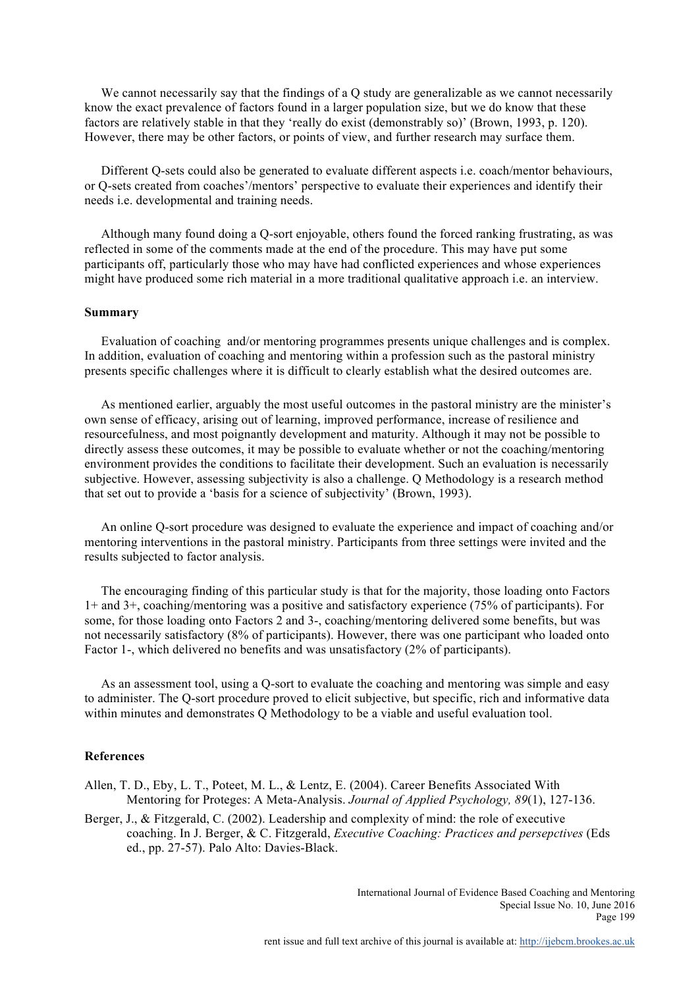We cannot necessarily say that the findings of a O study are generalizable as we cannot necessarily know the exact prevalence of factors found in a larger population size, but we do know that these factors are relatively stable in that they 'really do exist (demonstrably so)' (Brown, 1993, p. 120). However, there may be other factors, or points of view, and further research may surface them.

Different Q-sets could also be generated to evaluate different aspects i.e. coach/mentor behaviours, or Q-sets created from coaches'/mentors' perspective to evaluate their experiences and identify their needs i.e. developmental and training needs.

Although many found doing a Q-sort enjoyable, others found the forced ranking frustrating, as was reflected in some of the comments made at the end of the procedure. This may have put some participants off, particularly those who may have had conflicted experiences and whose experiences might have produced some rich material in a more traditional qualitative approach i.e. an interview.

#### **Summary**

Evaluation of coaching and/or mentoring programmes presents unique challenges and is complex. In addition, evaluation of coaching and mentoring within a profession such as the pastoral ministry presents specific challenges where it is difficult to clearly establish what the desired outcomes are.

As mentioned earlier, arguably the most useful outcomes in the pastoral ministry are the minister's own sense of efficacy, arising out of learning, improved performance, increase of resilience and resourcefulness, and most poignantly development and maturity. Although it may not be possible to directly assess these outcomes, it may be possible to evaluate whether or not the coaching/mentoring environment provides the conditions to facilitate their development. Such an evaluation is necessarily subjective. However, assessing subjectivity is also a challenge. Q Methodology is a research method that set out to provide a 'basis for a science of subjectivity' (Brown, 1993).

An online Q-sort procedure was designed to evaluate the experience and impact of coaching and/or mentoring interventions in the pastoral ministry. Participants from three settings were invited and the results subjected to factor analysis.

The encouraging finding of this particular study is that for the majority, those loading onto Factors 1+ and 3+, coaching/mentoring was a positive and satisfactory experience (75% of participants). For some, for those loading onto Factors 2 and 3-, coaching/mentoring delivered some benefits, but was not necessarily satisfactory (8% of participants). However, there was one participant who loaded onto Factor 1-, which delivered no benefits and was unsatisfactory (2% of participants).

As an assessment tool, using a Q-sort to evaluate the coaching and mentoring was simple and easy to administer. The Q-sort procedure proved to elicit subjective, but specific, rich and informative data within minutes and demonstrates O Methodology to be a viable and useful evaluation tool.

#### **References**

Allen, T. D., Eby, L. T., Poteet, M. L., & Lentz, E. (2004). Career Benefits Associated With Mentoring for Proteges: A Meta-Analysis. *Journal of Applied Psychology, 89*(1), 127-136.

Berger, J., & Fitzgerald, C. (2002). Leadership and complexity of mind: the role of executive coaching. In J. Berger, & C. Fitzgerald, *Executive Coaching: Practices and persepctives* (Eds ed., pp. 27-57). Palo Alto: Davies-Black.

> International Journal of Evidence Based Coaching and Mentoring Special Issue No. 10, June 2016 Page 199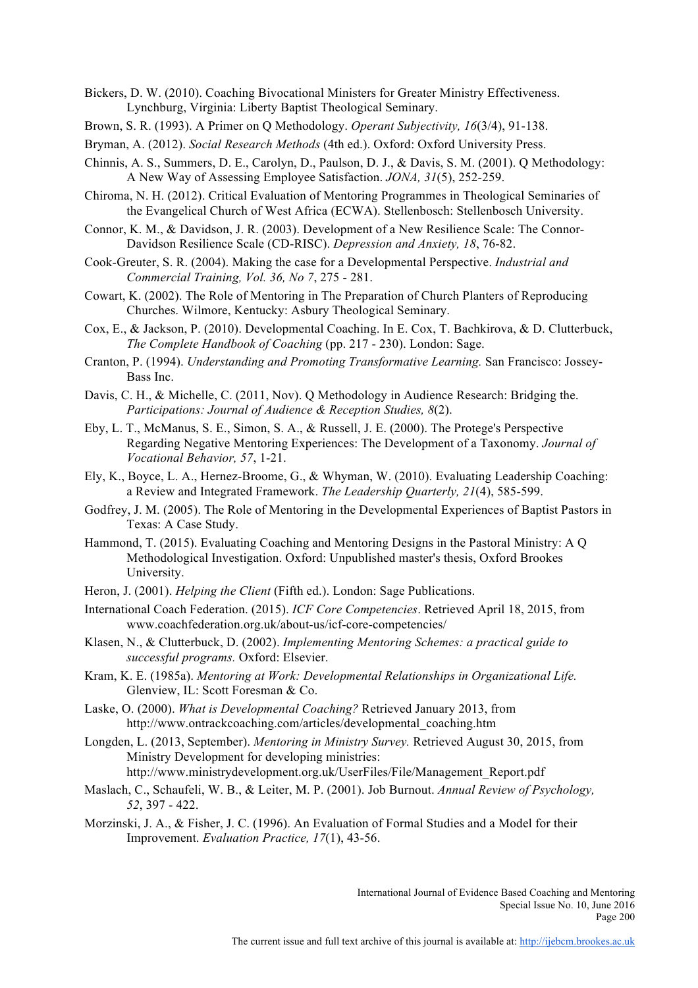Bickers, D. W. (2010). Coaching Bivocational Ministers for Greater Ministry Effectiveness. Lynchburg, Virginia: Liberty Baptist Theological Seminary.

- Brown, S. R. (1993). A Primer on Q Methodology. *Operant Subjectivity, 16*(3/4), 91-138.
- Bryman, A. (2012). *Social Research Methods* (4th ed.). Oxford: Oxford University Press.
- Chinnis, A. S., Summers, D. E., Carolyn, D., Paulson, D. J., & Davis, S. M. (2001). Q Methodology: A New Way of Assessing Employee Satisfaction. *JONA, 31*(5), 252-259.
- Chiroma, N. H. (2012). Critical Evaluation of Mentoring Programmes in Theological Seminaries of the Evangelical Church of West Africa (ECWA). Stellenbosch: Stellenbosch University.
- Connor, K. M., & Davidson, J. R. (2003). Development of a New Resilience Scale: The Connor-Davidson Resilience Scale (CD-RISC). *Depression and Anxiety, 18*, 76-82.
- Cook-Greuter, S. R. (2004). Making the case for a Developmental Perspective. *Industrial and Commercial Training, Vol. 36, No 7*, 275 - 281.
- Cowart, K. (2002). The Role of Mentoring in The Preparation of Church Planters of Reproducing Churches. Wilmore, Kentucky: Asbury Theological Seminary.
- Cox, E., & Jackson, P. (2010). Developmental Coaching. In E. Cox, T. Bachkirova, & D. Clutterbuck, *The Complete Handbook of Coaching* (pp. 217 - 230). London: Sage.
- Cranton, P. (1994). *Understanding and Promoting Transformative Learning.* San Francisco: Jossey-Bass Inc.
- Davis, C. H., & Michelle, C. (2011, Nov). Q Methodology in Audience Research: Bridging the. *Participations: Journal of Audience & Reception Studies, 8*(2).
- Eby, L. T., McManus, S. E., Simon, S. A., & Russell, J. E. (2000). The Protege's Perspective Regarding Negative Mentoring Experiences: The Development of a Taxonomy. *Journal of Vocational Behavior, 57*, 1-21.
- Ely, K., Boyce, L. A., Hernez-Broome, G., & Whyman, W. (2010). Evaluating Leadership Coaching: a Review and Integrated Framework. *The Leadership Quarterly, 21*(4), 585-599.
- Godfrey, J. M. (2005). The Role of Mentoring in the Developmental Experiences of Baptist Pastors in Texas: A Case Study.
- Hammond, T. (2015). Evaluating Coaching and Mentoring Designs in the Pastoral Ministry: A Q Methodological Investigation. Oxford: Unpublished master's thesis, Oxford Brookes University.
- Heron, J. (2001). *Helping the Client* (Fifth ed.). London: Sage Publications.
- International Coach Federation. (2015). *ICF Core Competencies*. Retrieved April 18, 2015, from www.coachfederation.org.uk/about-us/icf-core-competencies/
- Klasen, N., & Clutterbuck, D. (2002). *Implementing Mentoring Schemes: a practical guide to successful programs.* Oxford: Elsevier.
- Kram, K. E. (1985a). *Mentoring at Work: Developmental Relationships in Organizational Life.* Glenview, IL: Scott Foresman & Co.
- Laske, O. (2000). *What is Developmental Coaching?* Retrieved January 2013, from http://www.ontrackcoaching.com/articles/developmental\_coaching.htm
- Longden, L. (2013, September). *Mentoring in Ministry Survey.* Retrieved August 30, 2015, from Ministry Development for developing ministries: http://www.ministrydevelopment.org.uk/UserFiles/File/Management\_Report.pdf
- Maslach, C., Schaufeli, W. B., & Leiter, M. P. (2001). Job Burnout. *Annual Review of Psychology, 52*, 397 - 422.
- Morzinski, J. A., & Fisher, J. C. (1996). An Evaluation of Formal Studies and a Model for their Improvement. *Evaluation Practice, 17*(1), 43-56.